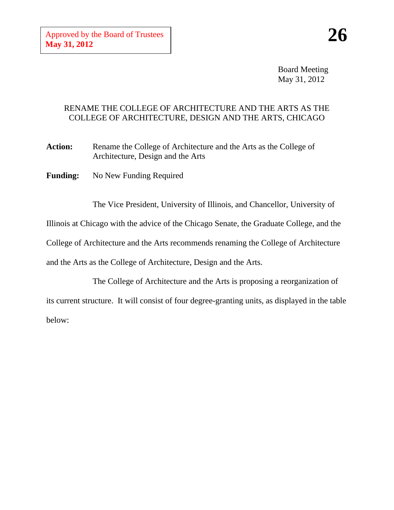Board Meeting May 31, 2012

## RENAME THE COLLEGE OF ARCHITECTURE AND THE ARTS AS THE COLLEGE OF ARCHITECTURE, DESIGN AND THE ARTS, CHICAGO

Action: Rename the College of Architecture and the Arts as the College of Architecture, Design and the Arts

**Funding:** No New Funding Required

The Vice President, University of Illinois, and Chancellor, University of

Illinois at Chicago with the advice of the Chicago Senate, the Graduate College, and the

College of Architecture and the Arts recommends renaming the College of Architecture

and the Arts as the College of Architecture, Design and the Arts.

The College of Architecture and the Arts is proposing a reorganization of its current structure. It will consist of four degree-granting units, as displayed in the table below: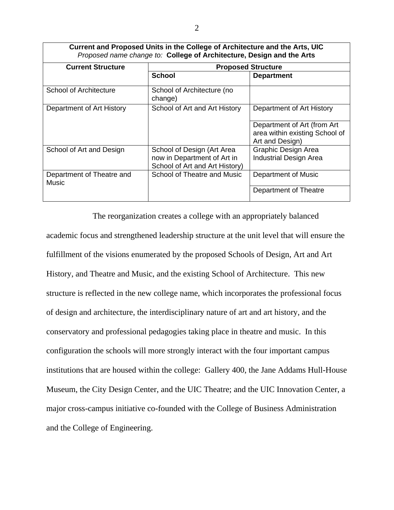| Current and Proposed Units in the College of Architecture and the Arts, UIC<br>Proposed name change to: College of Architecture, Design and the Arts |                                       |                                                                                  |
|------------------------------------------------------------------------------------------------------------------------------------------------------|---------------------------------------|----------------------------------------------------------------------------------|
| <b>Current Structure</b>                                                                                                                             | <b>Proposed Structure</b>             |                                                                                  |
|                                                                                                                                                      | <b>School</b>                         | <b>Department</b>                                                                |
| School of Architecture                                                                                                                               | School of Architecture (no<br>change) |                                                                                  |
| Department of Art History                                                                                                                            | School of Art and Art History         | Department of Art History                                                        |
|                                                                                                                                                      |                                       | Department of Art (from Art<br>area within existing School of<br>Art and Design) |
| School of Art and Design                                                                                                                             | School of Design (Art Area            | Graphic Design Area                                                              |
|                                                                                                                                                      | now in Department of Art in           | <b>Industrial Design Area</b>                                                    |
|                                                                                                                                                      | School of Art and Art History)        |                                                                                  |
| Department of Theatre and<br>Music                                                                                                                   | School of Theatre and Music           | Department of Music                                                              |
|                                                                                                                                                      |                                       | Department of Theatre                                                            |

The reorganization creates a college with an appropriately balanced academic focus and strengthened leadership structure at the unit level that will ensure the fulfillment of the visions enumerated by the proposed Schools of Design, Art and Art History, and Theatre and Music, and the existing School of Architecture. This new structure is reflected in the new college name, which incorporates the professional focus of design and architecture, the interdisciplinary nature of art and art history, and the conservatory and professional pedagogies taking place in theatre and music. In this configuration the schools will more strongly interact with the four important campus institutions that are housed within the college: Gallery 400, the Jane Addams Hull-House Museum, the City Design Center, and the UIC Theatre; and the UIC Innovation Center, a major cross-campus initiative co-founded with the College of Business Administration and the College of Engineering.